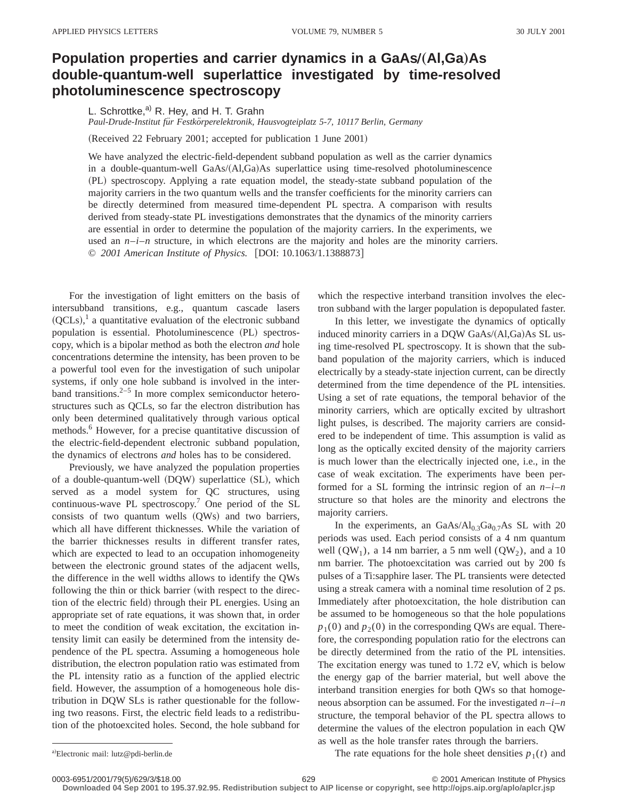## **Population properties and carrier dynamics in a GaAs/(Al,Ga)As double-quantum-well superlattice investigated by time-resolved photoluminescence spectroscopy**

L. Schrottke,<sup>a)</sup> R. Hey, and H. T. Grahn

*Paul-Drude-Institut fu¨r Festko¨rperelektronik, Hausvogteiplatz 5-7, 10117 Berlin, Germany*

(Received 22 February 2001; accepted for publication 1 June 2001)

We have analyzed the electric-field-dependent subband population as well as the carrier dynamics in a double-quantum-well  $GaAs/(A1,Ga)As$  superlattice using time-resolved photoluminescence (PL) spectroscopy. Applying a rate equation model, the steady-state subband population of the majority carriers in the two quantum wells and the transfer coefficients for the minority carriers can be directly determined from measured time-dependent PL spectra. A comparison with results derived from steady-state PL investigations demonstrates that the dynamics of the minority carriers are essential in order to determine the population of the majority carriers. In the experiments, we used an  $n-i-n$  structure, in which electrons are the majority and holes are the minority carriers. © 2001 American Institute of Physics. [DOI: 10.1063/1.1388873]

For the investigation of light emitters on the basis of intersubband transitions, e.g., quantum cascade lasers  $(QCLs),<sup>1</sup>$  a quantitative evaluation of the electronic subband population is essential. Photoluminescence (PL) spectroscopy, which is a bipolar method as both the electron *and* hole concentrations determine the intensity, has been proven to be a powerful tool even for the investigation of such unipolar systems, if only one hole subband is involved in the interband transitions. $2-5$  In more complex semiconductor heterostructures such as QCLs, so far the electron distribution has only been determined qualitatively through various optical methods.<sup>6</sup> However, for a precise quantitative discussion of the electric-field-dependent electronic subband population, the dynamics of electrons *and* holes has to be considered.

Previously, we have analyzed the population properties of a double-quantum-well (DQW) superlattice (SL), which served as a model system for QC structures, using continuous-wave PL spectroscopy.<sup>7</sup> One period of the SL consists of two quantum wells  $(QWs)$  and two barriers, which all have different thicknesses. While the variation of the barrier thicknesses results in different transfer rates, which are expected to lead to an occupation inhomogeneity between the electronic ground states of the adjacent wells, the difference in the well widths allows to identify the QWs following the thin or thick barrier (with respect to the direction of the electric field) through their PL energies. Using an appropriate set of rate equations, it was shown that, in order to meet the condition of weak excitation, the excitation intensity limit can easily be determined from the intensity dependence of the PL spectra. Assuming a homogeneous hole distribution, the electron population ratio was estimated from the PL intensity ratio as a function of the applied electric field. However, the assumption of a homogeneous hole distribution in DQW SLs is rather questionable for the following two reasons. First, the electric field leads to a redistribution of the photoexcited holes. Second, the hole subband for

which the respective interband transition involves the electron subband with the larger population is depopulated faster.

In this letter, we investigate the dynamics of optically induced minority carriers in a DQW GaAs/(Al,Ga)As SL using time-resolved PL spectroscopy. It is shown that the subband population of the majority carriers, which is induced electrically by a steady-state injection current, can be directly determined from the time dependence of the PL intensities. Using a set of rate equations, the temporal behavior of the minority carriers, which are optically excited by ultrashort light pulses, is described. The majority carriers are considered to be independent of time. This assumption is valid as long as the optically excited density of the majority carriers is much lower than the electrically injected one, i.e., in the case of weak excitation. The experiments have been performed for a SL forming the intrinsic region of an *n*–*i*–*n* structure so that holes are the minority and electrons the majority carriers.

In the experiments, an GaAs/ $Al<sub>0.3</sub>Ga<sub>0.7</sub>As SL with 20$ periods was used. Each period consists of a 4 nm quantum well  $(QW_1)$ , a 14 nm barrier, a 5 nm well  $(QW_2)$ , and a 10 nm barrier. The photoexcitation was carried out by 200 fs pulses of a Ti:sapphire laser. The PL transients were detected using a streak camera with a nominal time resolution of 2 ps. Immediately after photoexcitation, the hole distribution can be assumed to be homogeneous so that the hole populations  $p_1(0)$  and  $p_2(0)$  in the corresponding QWs are equal. Therefore, the corresponding population ratio for the electrons can be directly determined from the ratio of the PL intensities. The excitation energy was tuned to 1.72 eV, which is below the energy gap of the barrier material, but well above the interband transition energies for both QWs so that homogeneous absorption can be assumed. For the investigated *n*–*i*–*n* structure, the temporal behavior of the PL spectra allows to determine the values of the electron population in each QW as well as the hole transfer rates through the barriers.

The rate equations for the hole sheet densities  $p_1(t)$  and

a)Electronic mail: lutz@pdi-berlin.de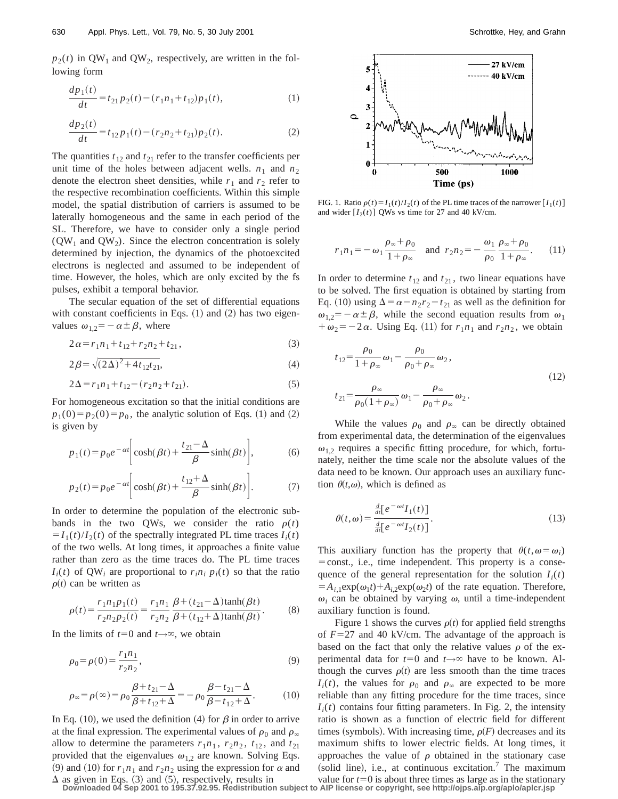$p_2(t)$  in QW<sub>1</sub> and QW<sub>2</sub>, respectively, are written in the following form

$$
\frac{dp_1(t)}{dt} = t_{21}p_2(t) - (r_1n_1 + t_{12})p_1(t),\tag{1}
$$

$$
\frac{dp_2(t)}{dt} = t_{12}p_1(t) - (r_2n_2 + t_{21})p_2(t).
$$
 (2)

The quantities  $t_{12}$  and  $t_{21}$  refer to the transfer coefficients per unit time of the holes between adjacent wells.  $n_1$  and  $n_2$ denote the electron sheet densities, while  $r_1$  and  $r_2$  refer to the respective recombination coefficients. Within this simple model, the spatial distribution of carriers is assumed to be laterally homogeneous and the same in each period of the SL. Therefore, we have to consider only a single period  $(QW_1$  and  $QW_2$ ). Since the electron concentration is solely determined by injection, the dynamics of the photoexcited electrons is neglected and assumed to be independent of time. However, the holes, which are only excited by the fs pulses, exhibit a temporal behavior.

The secular equation of the set of differential equations with constant coefficients in Eqs.  $(1)$  and  $(2)$  has two eigenvalues  $\omega_{1,2} = -\alpha \pm \beta$ , where

$$
2\alpha = r_1 n_1 + t_{12} + r_2 n_2 + t_{21},\tag{3}
$$

$$
2\beta = \sqrt{(2\Delta)^2 + 4t_{12}t_{21}},\tag{4}
$$

$$
2\Delta = r_1 n_1 + t_{12} - (r_2 n_2 + t_{21}).
$$
\n(5)

For homogeneous excitation so that the initial conditions are  $p_1(0) = p_2(0) = p_0$ , the analytic solution of Eqs. (1) and (2) is given by

$$
p_1(t) = p_0 e^{-\alpha t} \bigg[ \cosh(\beta t) + \frac{t_{21} - \Delta}{\beta} \sinh(\beta t) \bigg],
$$
 (6)

$$
p_2(t) = p_0 e^{-\alpha t} \bigg[ \cosh(\beta t) + \frac{t_{12} + \Delta}{\beta} \sinh(\beta t) \bigg]. \tag{7}
$$

In order to determine the population of the electronic subbands in the two QWs, we consider the ratio  $\rho(t)$  $= I_1(t)/I_2(t)$  of the spectrally integrated PL time traces  $I_i(t)$ of the two wells. At long times, it approaches a finite value rather than zero as the time traces do. The PL time traces  $I_i(t)$  of QW<sub>i</sub> are proportional to  $r_i n_i p_i(t)$  so that the ratio  $\rho(t)$  can be written as

$$
\rho(t) = \frac{r_1 n_1 p_1(t)}{r_2 n_2 p_2(t)} = \frac{r_1 n_1}{r_2 n_2} \frac{\beta + (t_{21} - \Delta) \tanh(\beta t)}{\beta + (t_{12} + \Delta) \tanh(\beta t)}.
$$
(8)

In the limits of  $t=0$  and  $t\rightarrow\infty$ , we obtain

$$
\rho_0 = \rho(0) = \frac{r_1 n_1}{r_2 n_2},\tag{9}
$$

$$
\rho_{\infty} = \rho(\infty) = \rho_0 \frac{\beta + t_{21} - \Delta}{\beta + t_{12} + \Delta} = -\rho_0 \frac{\beta - t_{21} - \Delta}{\beta - t_{12} + \Delta}.
$$
 (10)

In Eq. (10), we used the definition (4) for  $\beta$  in order to arrive at the final expression. The experimental values of  $\rho_0$  and  $\rho_\infty$ allow to determine the parameters  $r_1n_1$ ,  $r_2n_2$ ,  $t_{12}$ , and  $t_{21}$ provided that the eigenvalues  $\omega_{1,2}$  are known. Solving Eqs. (9) and (10) for  $r_1n_1$  and  $r_2n_2$  using the expression for  $\alpha$  and



FIG. 1. Ratio  $\rho(t) = I_1(t)/I_2(t)$  of the PL time traces of the narrower  $[I_1(t)]$ and wider  $[I_2(t)]$  QWs vs time for 27 and 40 kV/cm.

$$
r_1 n_1 = -\omega_1 \frac{\rho_\infty + \rho_0}{1 + \rho_\infty} \quad \text{and} \quad r_2 n_2 = -\frac{\omega_1}{\rho_0} \frac{\rho_\infty + \rho_0}{1 + \rho_\infty}.\tag{11}
$$

In order to determine  $t_{12}$  and  $t_{21}$ , two linear equations have to be solved. The first equation is obtained by starting from Eq. (10) using  $\Delta = \alpha - n_2 r_2 - t_{21}$  as well as the definition for  $\omega_{1,2}=-\alpha\pm\beta$ , while the second equation results from  $\omega_1$  $+\omega_2 = -2\alpha$ . Using Eq. (11) for  $r_1n_1$  and  $r_2n_2$ , we obtain

$$
t_{12} = \frac{\rho_0}{1 + \rho_\infty} \omega_1 - \frac{\rho_0}{\rho_0 + \rho_\infty} \omega_2,
$$
  

$$
t_{21} = \frac{\rho_\infty}{\rho_0 (1 + \rho_\infty)} \omega_1 - \frac{\rho_\infty}{\rho_0 + \rho_\infty} \omega_2.
$$
 (12)

While the values  $\rho_0$  and  $\rho_\infty$  can be directly obtained from experimental data, the determination of the eigenvalues  $\omega_{1,2}$  requires a specific fitting procedure, for which, fortunately, neither the time scale nor the absolute values of the data need to be known. Our approach uses an auxiliary function  $\theta(t,\omega)$ , which is defined as

$$
\theta(t,\omega) = \frac{\frac{d}{dt}[e^{-\omega t}I_1(t)]}{\frac{d}{dt}[e^{-\omega t}I_2(t)]}.
$$
\n(13)

This auxiliary function has the property that  $\theta(t, \omega = \omega_i)$  $=$ const., i.e., time independent. This property is a consequence of the general representation for the solution  $I_i(t)$  $=A_{i,1}$ exp( $\omega_1 t$ )+ $A_{i,2}$ exp( $\omega_2 t$ ) of the rate equation. Therefore,  $\omega_i$  can be obtained by varying  $\omega$ , until a time-independent auxiliary function is found.

Figure 1 shows the curves  $\rho(t)$  for applied field strengths of  $F=27$  and 40 kV/cm. The advantage of the approach is based on the fact that only the relative values  $\rho$  of the experimental data for  $t=0$  and  $t\rightarrow\infty$  have to be known. Although the curves  $\rho(t)$  are less smooth than the time traces  $I_i(t)$ , the values for  $\rho_0$  and  $\rho_\infty$  are expected to be more reliable than any fitting procedure for the time traces, since  $I_i(t)$  contains four fitting parameters. In Fig. 2, the intensity ratio is shown as a function of electric field for different times (symbols). With increasing time,  $\rho(F)$  decreases and its maximum shifts to lower electric fields. At long times, it approaches the value of  $\rho$  obtained in the stationary case (solid line), i.e., at continuous excitation.<sup>7</sup> The maximum

 $\Delta$  as given in Eqs. (3) and (5), respectively, results in value for  $t=0$  is about three times as large as in the stationary Downloaded 04 Sep 2001 to 195.37.92.95. Redistribution subject to AIP license or copyright, se